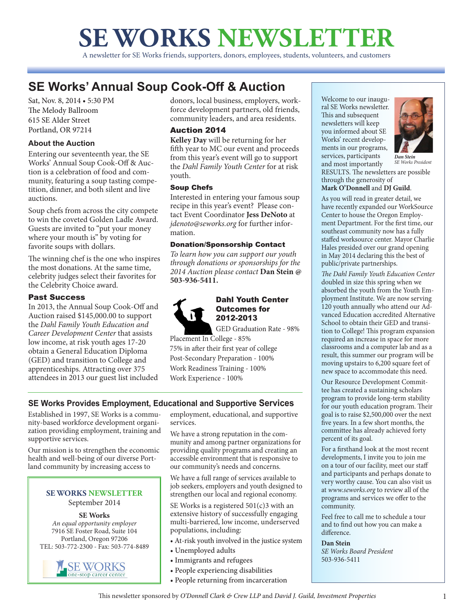# **SE WORKS NEWSLETTER**

A newsletter for SE Works friends, supporters, donors, employees, students, volunteers, and customers

# **SE Works' Annual Soup Cook-Off & Auction**

Sat, Nov. 8, 2014 • 5:30 PM The Melody Ballroom 615 SE Alder Street Portland, OR 97214

## **About the Auction**

Entering our seventeenth year, the SE Works' Annual Soup Cook-Off & Auction is a celebration of food and community, featuring a soup tasting competition, dinner, and both silent and live auctions.

Soup chefs from across the city compete to win the coveted Golden Ladle Award. Guests are invited to "put your money where your mouth is" by voting for favorite soups with dollars.

The winning chef is the one who inspires the most donations. At the same time, celebrity judges select their favorites for the Celebrity Choice award.

## Past Success

In 2013, the Annual Soup Cook-Off and Auction raised \$145,000.00 to support the *Dahl Family Youth Education and Career Development Center* that assists low income, at risk youth ages 17-20 obtain a General Education Diploma (GED) and transition to College and apprenticeships. Attracting over 375 attendees in 2013 our guest list included donors, local business, employers, workforce development partners, old friends, community leaders, and area residents.

## Auction 2014

**Kelley Day** will be returning for her fifth year to MC our event and proceeds from this year's event will go to support the *Dahl Family Youth Center* for at risk youth.

## Soup Chefs

Interested in entering your famous soup recipe in this year's event? Please contact Event Coordinator **Jess DeNoto** at *jdenoto@seworks.org* for further information.

## Donation/Sponsorship Contact

*To learn how you can support our youth through donations or sponsorships for the 2014 Auction please contact* **Dan Stein @ 503-936-5411.**



## Dahl Youth Center Outcomes for 2012-2013

GED Graduation Rate - 98%

Placement In College - 85% 75% in after their first year of college Post-Secondary Preparation - 100% Work Readiness Training - 100% Work Experience - 100%

## **SE Works Provides Employment, Educational and Supportive Services**

Established in 1997, SE Works is a community-based workforce development organization providing employment, training and supportive services.

Our mission is to strengthen the economic health and well-being of our diverse Portland community by increasing access to

#### **SE WORKS NEWSLETTER**  September 2014

**SE Works** *An equal opportunity employer* 7916 SE Foster Road, Suite 104 Portland, Oregon 97206 TEL: 503-772-2300 - Fax: 503-774-8489



employment, educational, and supportive services.

We have a strong reputation in the community and among partner organizations for providing quality programs and creating an accessible environment that is responsive to our community's needs and concerns.

We have a full range of services available to job seekers, employers and youth designed to strengthen our local and regional economy.

SE Works is a registered  $501(c)3$  with an extensive history of successfully engaging multi-barriered, low income, underserved populations, including:

- At-risk youth involved in the justice system
- Unemployed adults
- Immigrants and refugees
- People experiencing disabilities
- People returning from incarceration

Welcome to our inaugural SE Works newsletter. This and subsequent newsletters will keep you informed about SE Works' recent developments in our programs, services, participants and most importantly RESULTS. The newsletters are possible through the generosity of *Dan Stein SE Works President*

## **Mark O'Donnell** and **DJ Guild**.

As you will read in greater detail, we have recently expanded our WorkSource Center to house the Oregon Employment Department. For the first time, our southeast community now has a fully staffed worksource center. Mayor Charlie Hales presided over our grand opening in May 2014 declaring this the best of public/private partnerships.

*The Dahl Family Youth Education Center*  doubled in size this spring when we absorbed the youth from the Youth Employment Institute. We are now serving 120 youth annually who attend our Advanced Education accredited Alternative School to obtain their GED and transition to College! This program expansion required an increase in space for more classrooms and a computer lab and as a result, this summer our program will be moving upstairs to 6,200 square feet of new space to accommodate this need.

Our Resource Development Committee has created a sustaining scholars program to provide long-term stability for our youth education program. Their goal is to raise \$2,500,000 over the next five years. In a few short months, the committee has already achieved forty percent of its goal.

For a firsthand look at the most recent developments, I invite you to join me on a tour of our facility, meet our staff and participants and perhaps donate to very worthy cause. You can also visit us at *www.seworks.org* to review all of the programs and services we offer to the community.

Feel free to call me to schedule a tour and to find out how you can make a difference.

#### **Dan Stein**

*SE Works Board President*  503-936-5411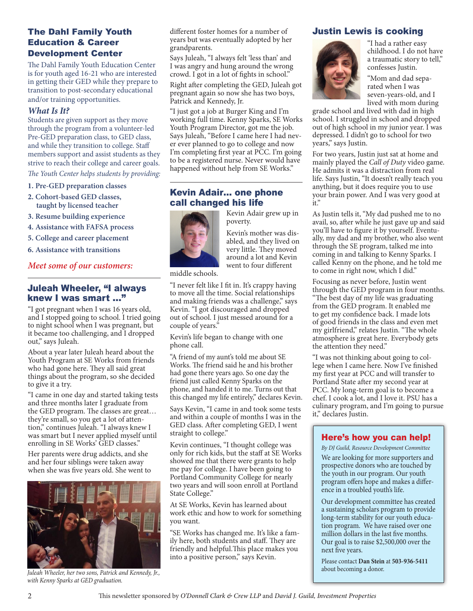## The Dahl Family Youth Education & Career Development Center

The Dahl Family Youth Education Center is for youth aged 16-21 who are interested in getting their GED while they prepare to transition to post-secondary educational and/or training opportunities.

#### *What Is It?*

Students are given support as they move through the program from a volunteer-led Pre-GED preparation class, to GED class, and while they transition to college. Staff members support and assist students as they strive to reach their college and career goals.

*The Youth Center helps students by providing:*

- **1. Pre-GED preparation classes**
- **2. Cohort-based GED classes, taught by licensed teacher**
- **3. Resume building experience**
- **4. Assistance with FAFSA process**
- **5. College and career placement**
- **6. Assistance with transitions**

## *Meet some of our customers:*

## Juleah Wheeler, "I always knew I was smart ..."

"I got pregnant when I was 16 years old, and I stopped going to school. I tried going to night school when I was pregnant, but it became too challenging, and I dropped out," says Juleah.

About a year later Juleah heard about the Youth Program at SE Works from friends who had gone here. They all said great things about the program, so she decided to give it a try.

"I came in one day and started taking tests and three months later I graduate from the GED program. The classes are great… they're small, so you get a lot of attention," continues Juleah. "I always knew I was smart but I never applied myself until enrolling in SE Works' GED classes."

Her parents were drug addicts, and she and her four siblings were taken away when she was five years old. She went to



*Juleah Wheeler, her two sons, Patrick and Kennedy, Jr., with Kenny Sparks at GED graduation.*

different foster homes for a number of years but was eventually adopted by her grandparents.

Says Juleah, "I always felt 'less than' and I was angry and hung around the wrong crowd. I got in a lot of fights in school."

Right after completing the GED, Juleah got pregnant again so now she has two boys, Patrick and Kennedy, Jr.

"I just got a job at Burger King and I'm working full time. Kenny Sparks, SE Works Youth Program Director, got me the job. Says Juleah, "Before I came here I had never ever planned to go to college and now I'm completing first year at PCC. I'm going to be a registered nurse. Never would have happened without help from SE Works."

## Kevin Adair… one phone call changed his life



Kevin Adair grew up in poverty.

Kevin's mother was disabled, and they lived on very little. They moved around a lot and Kevin went to four different

middle schools.

"I never felt like I fit in. It's crappy having to move all the time. Social relationships and making friends was a challenge," says Kevin. "I got discouraged and dropped out of school. I just messed around for a couple of years."

Kevin's life began to change with one phone call.

"A friend of my aunt's told me about SE Works. The friend said he and his brother had gone there years ago. So one day the friend just called Kenny Sparks on the phone, and handed it to me. Turns out that this changed my life entirely," declares Kevin.

Says Kevin, "I came in and took some tests and within a couple of months I was in the GED class. After completing GED, I went straight to college."

Kevin continues, "I thought college was only for rich kids, but the staff at SE Works showed me that there were grants to help me pay for college. I have been going to Portland Community College for nearly two years and will soon enroll at Portland State College."

At SE Works, Kevin has learned about work ethic and how to work for something you want.

"SE Works has changed me. It's like a family here, both students and staff. They are friendly and helpful.This place makes you into a positive person," says Kevin.

## Justin Lewis is cooking



"I had a rather easy childhood. I do not have a traumatic story to tell," confesses Justin.

"Mom and dad separated when I was seven-years-old, and I lived with mom during

grade school and lived with dad in high school. I struggled in school and dropped out of high school in my junior year. I was depressed. I didn't go to school for two years," says Justin.

For two years, Justin just sat at home and mainly played the *Call of Duty* video game. He admits it was a distraction from real life. Says Justin, "It doesn't really teach you anything, but it does require you to use your brain power. And I was very good at it."

As Justin tells it, "My dad pushed me to no avail, so, after while he just gave up and said you'll have to figure it by yourself. Eventually, my dad and my brother, who also went through the SE program, talked me into coming in and talking to Kenny Sparks. I called Kenny on the phone, and he told me to come in right now, which I did."

Focusing as never before, Justin went through the GED program in four months. "The best day of my life was graduating from the GED program. It enabled me to get my confidence back. I made lots of good friends in the class and even met my girlfriend," relates Justin. "The whole atmosphere is great here. Everybody gets the attention they need."

"I was not thinking about going to college when I came here. Now I've finished my first year at PCC and will transfer to Portland State after my second year at PCC. My long-term goal is to become a chef. I cook a lot, and I love it. PSU has a culinary program, and I'm going to pursue it," declares Justin.

## Here's how you can help!

*By DJ Guild, Resource Development Committee*  We are looking for more supporters and prospective donors who are touched by the youth in our program. Our youth program offers hope and makes a difference in a troubled youth's life.

Our development committee has created a sustaining scholars program to provide long-term stability for our youth education program. We have raised over one million dollars in the last five months. Our goal is to raise \$2,500,000 over the next five years.

Please contact **Dan Stein** at **503-936-5411**  about becoming a donor.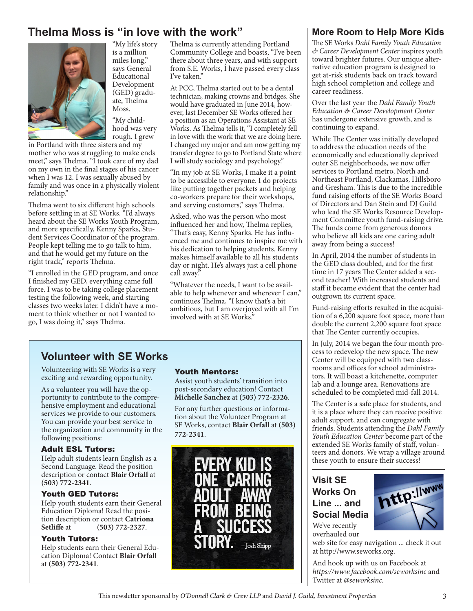# **Thelma Moss is "in love with the work"**



"My life's story is a million miles long," says General Educational Development (GED) graduate, Thelma Moss.

"My childhood was very rough. I grew

in Portland with three sisters and my mother who was struggling to make ends meet," says Thelma. "I took care of my dad on my own in the final stages of his cancer when I was 12. I was sexually abused by family and was once in a physically violent relationship."

Thelma went to six different high schools before settling in at SE Works. "I'd always heard about the SE Works Youth Program, and more specifically, Kenny Sparks, Student Services Coordinator of the program. People kept telling me to go talk to him, and that he would get my future on the right track," reports Thelma.

"I enrolled in the GED program, and once I finished my GED, everything came full force. I was to be taking college placement testing the following week, and starting classes two weeks later. I didn't have a moment to think whether or not I wanted to go, I was doing it," says Thelma.

Thelma is currently attending Portland Community College and boasts, "I've been there about three years, and with support from S.E. Works, I have passed every class I've taken."

At PCC, Thelma started out to be a dental technician, making crowns and bridges. She would have graduated in June 2014, however, last December SE Works offered her a position as an Operations Assistant at SE Works. As Thelma tells it, "I completely fell in love with the work that we are doing here. I changed my major and am now getting my transfer degree to go to Portland State where I will study sociology and psychology."

"In my job at SE Works, I make it a point to be accessible to everyone. I do projects like putting together packets and helping co-workers prepare for their workshops, and serving customers," says Thelma.

Asked, who was the person who most influenced her and how, Thelma replies, "That's easy, Kenny Sparks. He has influenced me and continues to inspire me with his dedication to helping students. Kenny makes himself available to all his students day or night. He's always just a cell phone call away."

"Whatever the needs, I want to be available to help whenever and wherever I can," continues Thelma, "I know that's a bit ambitious, but I am overjoyed with all I'm involved with at SE Works.'

## **Volunteer with SE Works**

Volunteering with SE Works is a very exciting and rewarding opportunity.

As a volunteer you will have the opportunity to contribute to the comprehensive employment and educational services we provide to our customers. You can provide your best service to the organization and community in the following positions:

#### Adult ESL Tutors:

Help adult students learn English as a Second Language. Read the position description or contact **Blair Orfall** at **(503) 772-2341**.

## Youth GED Tutors:

Help youth students earn their General Education Diploma! Read the position description or contact **Catriona Setliffe** at **(503) 772-2327**.

#### Youth Tutors:

Help students earn their General Education Diploma! Contact **Blair Orfall** at **(503) 772-2341**.

#### Youth Mentors:

Assist youth students' transition into post-secondary education! Contact **Michelle Sanchez** at **(503) 772-2326**.

For any further questions or information about the Volunteer Program at SE Works, contact **Blair Orfall** at **(503) 772-2341**.



## **More Room to Help More Kids**

The SE Works *Dahl Family Youth Education & Career Development Center* inspires youth toward brighter futures. Our unique alternative education program is designed to get at-risk students back on track toward high school completion and college and career readiness.

Over the last year the *Dahl Family Youth Education & Career Development Center* has undergone extensive growth, and is continuing to expand.

While The Center was initially developed to address the education needs of the economically and educationally deprived outer SE neighborhoods, we now offer services to Portland metro, North and Northeast Portland, Clackamas, Hillsboro and Gresham. This is due to the incredible fund raising efforts of the SE Works Board of Directors and Dan Stein and DJ Guild who lead the SE Works Resource Development Committee youth fund-raising drive. The funds come from generous donors who believe all kids are one caring adult away from being a success!

In April, 2014 the number of students in the GED class doubled, and for the first time in 17 years The Center added a second teacher! With increased students and staff it became evident that the center had outgrown its current space.

Fund-raising efforts resulted in the acquisition of a 6,200 square foot space, more than double the current 2,200 square foot space that The Center currently occupies.

In July, 2014 we began the four month process to redevelop the new space. The new Center will be equipped with two classrooms and offices for school administrators. It will boast a kitchenette, computer lab and a lounge area. Renovations are scheduled to be completed mid-fall 2014.

The Center is a safe place for students, and it is a place where they can receive positive adult support, and can congregate with friends. Students attending the *Dahl Family Youth Education Center* become part of the extended SE Works family of staff, volunteers and donors. We wrap a village around these youth to ensure their success!

# **Visit SE Works On Line ... and Social Media**

We've recently overhauled our



http://www

And hook up with us on Facebook at *https://www.facebook.com/seworksinc* and Twitter at *@seworksinc.*